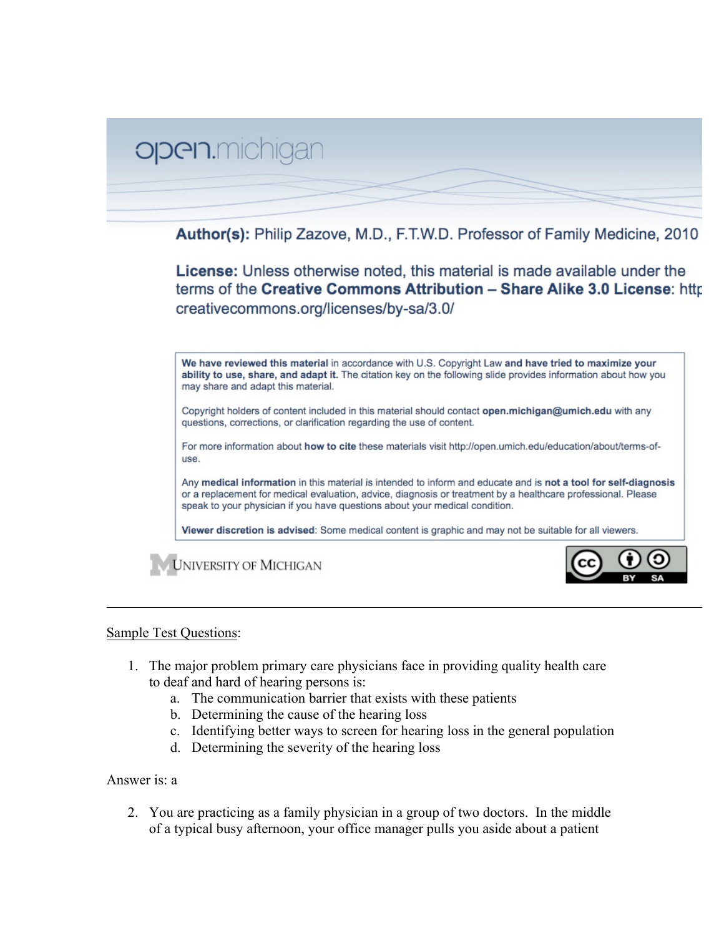

## Sample Test Questions:

- 1. The major problem primary care physicians face in providing quality health care to deaf and hard of hearing persons is:
	- a. The communication barrier that exists with these patients
	- b. Determining the cause of the hearing loss
	- c. Identifying better ways to screen for hearing loss in the general population
	- d. Determining the severity of the hearing loss

## Answer is: a

2. You are practicing as a family physician in a group of two doctors. In the middle of a typical busy afternoon, your office manager pulls you aside about a patient